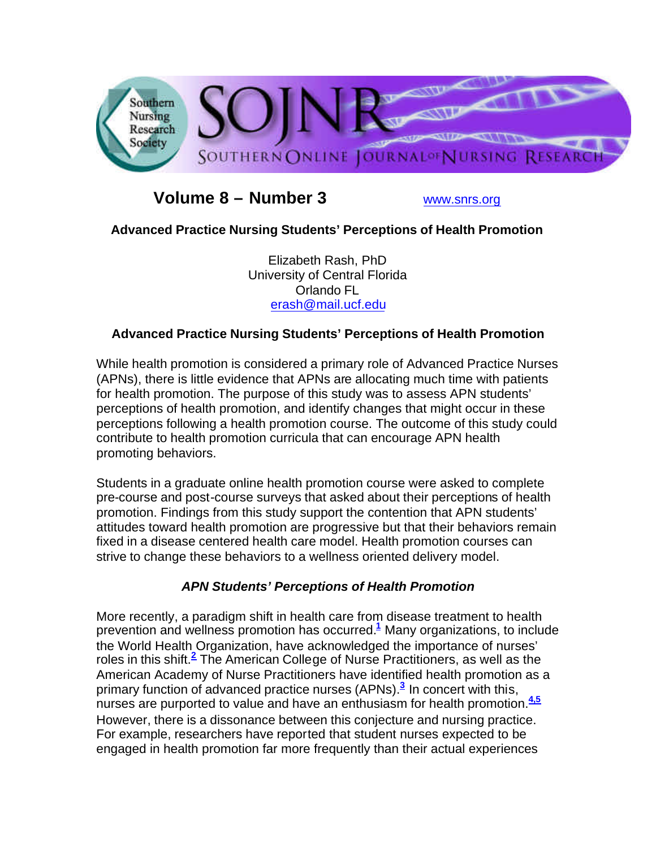

# **Volume 8 – Number 3** www.snrs.org

# **Advanced Practice Nursing Students' Perceptions of Health Promotion**

Elizabeth Rash, PhD University of Central Florida Orlando FL erash@mail.ucf.edu

# **Advanced Practice Nursing Students' Perceptions of Health Promotion**

While health promotion is considered a primary role of Advanced Practice Nurses (APNs), there is little evidence that APNs are allocating much time with patients for health promotion. The purpose of this study was to assess APN students' perceptions of health promotion, and identify changes that might occur in these perceptions following a health promotion course. The outcome of this study could contribute to health promotion curricula that can encourage APN health promoting behaviors.

Students in a graduate online health promotion course were asked to complete pre-course and post-course surveys that asked about their perceptions of health promotion. Findings from this study support the contention that APN students' attitudes toward health promotion are progressive but that their behaviors remain fixed in a disease centered health care model. Health promotion courses can strive to change these behaviors to a wellness oriented delivery model.

# *APN Students' Perceptions of Health Promotion*

More recently, a paradigm shift in health care from disease treatment to health prevention and wellness promotion has occurred.**<sup>1</sup>** Many organizations, to include the World Health Organization, have acknowledged the importance of nurses' roles in this shift.**<sup>2</sup>** The American College of Nurse Practitioners, as well as the American Academy of Nurse Practitioners have identified health promotion as a primary function of advanced practice nurses (APNs).**<sup>3</sup>** In concert with this, nurses are purported to value and have an enthusiasm for health promotion.**4,5** However, there is a dissonance between this conjecture and nursing practice. For example, researchers have reported that student nurses expected to be engaged in health promotion far more frequently than their actual experiences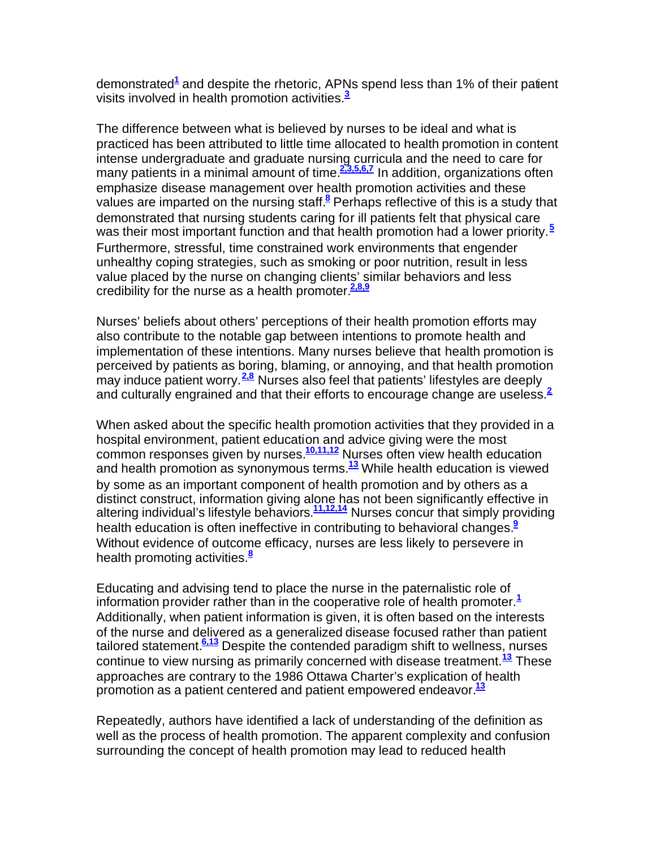demonstrated**<sup>1</sup>** and despite the rhetoric, APNs spend less than 1% of their patient visits involved in health promotion activities.**<sup>3</sup>**

The difference between what is believed by nurses to be ideal and what is practiced has been attributed to little time allocated to health promotion in content intense undergraduate and graduate nursing curricula and the need to care for many patients in a minimal amount of time.**2,3,5,6,7** In addition, organizations often emphasize disease management over health promotion activities and these values are imparted on the nursing staff.**<sup>8</sup>** Perhaps reflective of this is a study that demonstrated that nursing students caring for ill patients felt that physical care was their most important function and that health promotion had a lower priority.**<sup>5</sup>** Furthermore, stressful, time constrained work environments that engender unhealthy coping strategies, such as smoking or poor nutrition, result in less value placed by the nurse on changing clients' similar behaviors and less credibility for the nurse as a health promoter.**2,8,9**

Nurses' beliefs about others' perceptions of their health promotion efforts may also contribute to the notable gap between intentions to promote health and implementation of these intentions. Many nurses believe that health promotion is perceived by patients as boring, blaming, or annoying, and that health promotion may induce patient worry.**2,8** Nurses also feel that patients' lifestyles are deeply and culturally engrained and that their efforts to encourage change are useless.**<sup>2</sup>**

When asked about the specific health promotion activities that they provided in a hospital environment, patient education and advice giving were the most common responses given by nurses.**10,11,12** Nurses often view health education and health promotion as synonymous terms.**<sup>13</sup>** While health education is viewed by some as an important component of health promotion and by others as a distinct construct, information giving alone has not been significantly effective in altering individual's lifestyle behaviors.**11,12,14** Nurses concur that simply providing health education is often ineffective in contributing to behavioral changes.**<sup>9</sup>** Without evidence of outcome efficacy, nurses are less likely to persevere in health promoting activities.**<sup>8</sup>**

Educating and advising tend to place the nurse in the paternalistic role of information provider rather than in the cooperative role of health promoter.**<sup>1</sup>** Additionally, when patient information is given, it is often based on the interests of the nurse and delivered as a generalized disease focused rather than patient tailored statement.**6,13** Despite the contended paradigm shift to wellness, nurses continue to view nursing as primarily concerned with disease treatment.**<sup>13</sup>** These approaches are contrary to the 1986 Ottawa Charter's explication of health promotion as a patient centered and patient empowered endeavor.**<sup>13</sup>**

Repeatedly, authors have identified a lack of understanding of the definition as well as the process of health promotion. The apparent complexity and confusion surrounding the concept of health promotion may lead to reduced health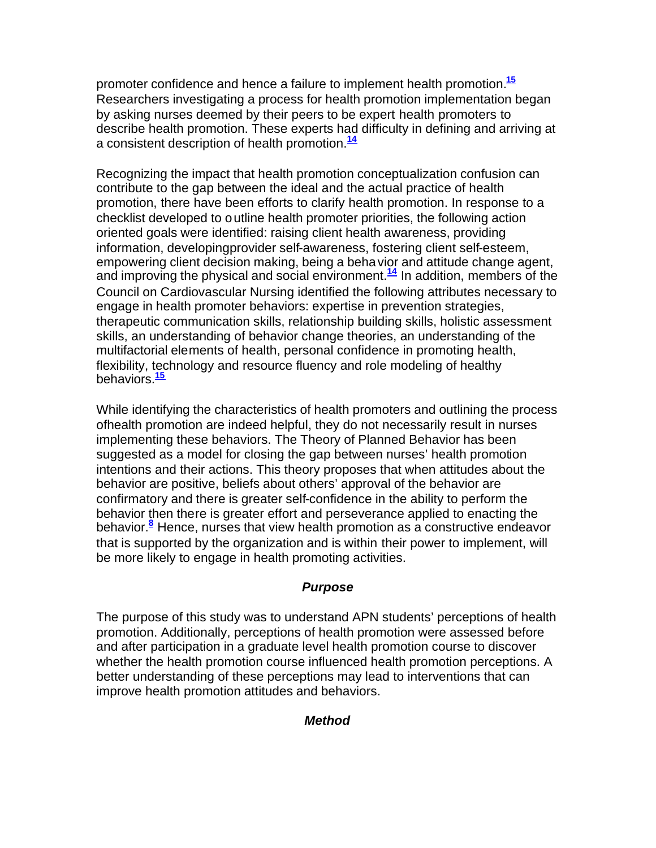promoter confidence and hence a failure to implement health promotion.**<sup>15</sup>** Researchers investigating a process for health promotion implementation began by asking nurses deemed by their peers to be expert health promoters to describe health promotion. These experts had difficulty in defining and arriving at a consistent description of health promotion.**<sup>14</sup>**

Recognizing the impact that health promotion conceptualization confusion can contribute to the gap between the ideal and the actual practice of health promotion, there have been efforts to clarify health promotion. In response to a checklist developed to outline health promoter priorities, the following action oriented goals were identified: raising client health awareness, providing information, developingprovider self-awareness, fostering client self-esteem, empowering client decision making, being a behavior and attitude change agent, and improving the physical and social environment.**<sup>14</sup>** In addition, members of the Council on Cardiovascular Nursing identified the following attributes necessary to engage in health promoter behaviors: expertise in prevention strategies, therapeutic communication skills, relationship building skills, holistic assessment skills, an understanding of behavior change theories, an understanding of the multifactorial elements of health, personal confidence in promoting health, flexibility, technology and resource fluency and role modeling of healthy behaviors.**<sup>15</sup>**

While identifying the characteristics of health promoters and outlining the process ofhealth promotion are indeed helpful, they do not necessarily result in nurses implementing these behaviors. The Theory of Planned Behavior has been suggested as a model for closing the gap between nurses' health promotion intentions and their actions. This theory proposes that when attitudes about the behavior are positive, beliefs about others' approval of the behavior are confirmatory and there is greater self-confidence in the ability to perform the behavior then there is greater effort and perseverance applied to enacting the behavior.**<sup>8</sup>** Hence, nurses that view health promotion as a constructive endeavor that is supported by the organization and is within their power to implement, will be more likely to engage in health promoting activities.

# *Purpose*

The purpose of this study was to understand APN students' perceptions of health promotion. Additionally, perceptions of health promotion were assessed before and after participation in a graduate level health promotion course to discover whether the health promotion course influenced health promotion perceptions. A better understanding of these perceptions may lead to interventions that can improve health promotion attitudes and behaviors.

### *Method*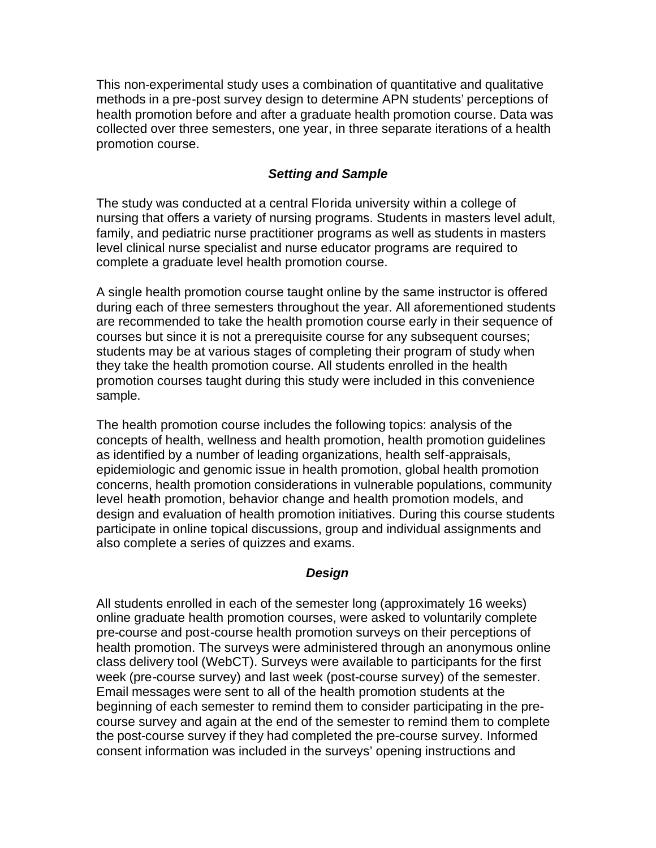This non-experimental study uses a combination of quantitative and qualitative methods in a pre-post survey design to determine APN students' perceptions of health promotion before and after a graduate health promotion course. Data was collected over three semesters, one year, in three separate iterations of a health promotion course.

## *Setting and Sample*

The study was conducted at a central Florida university within a college of nursing that offers a variety of nursing programs. Students in masters level adult, family, and pediatric nurse practitioner programs as well as students in masters level clinical nurse specialist and nurse educator programs are required to complete a graduate level health promotion course.

A single health promotion course taught online by the same instructor is offered during each of three semesters throughout the year. All aforementioned students are recommended to take the health promotion course early in their sequence of courses but since it is not a prerequisite course for any subsequent courses; students may be at various stages of completing their program of study when they take the health promotion course. All students enrolled in the health promotion courses taught during this study were included in this convenience sample.

The health promotion course includes the following topics: analysis of the concepts of health, wellness and health promotion, health promotion guidelines as identified by a number of leading organizations, health self-appraisals, epidemiologic and genomic issue in health promotion, global health promotion concerns, health promotion considerations in vulnerable populations, community level health promotion, behavior change and health promotion models, and design and evaluation of health promotion initiatives. During this course students participate in online topical discussions, group and individual assignments and also complete a series of quizzes and exams.

### *Design*

All students enrolled in each of the semester long (approximately 16 weeks) online graduate health promotion courses, were asked to voluntarily complete pre-course and post-course health promotion surveys on their perceptions of health promotion. The surveys were administered through an anonymous online class delivery tool (WebCT). Surveys were available to participants for the first week (pre-course survey) and last week (post-course survey) of the semester. Email messages were sent to all of the health promotion students at the beginning of each semester to remind them to consider participating in the precourse survey and again at the end of the semester to remind them to complete the post-course survey if they had completed the pre-course survey. Informed consent information was included in the surveys' opening instructions and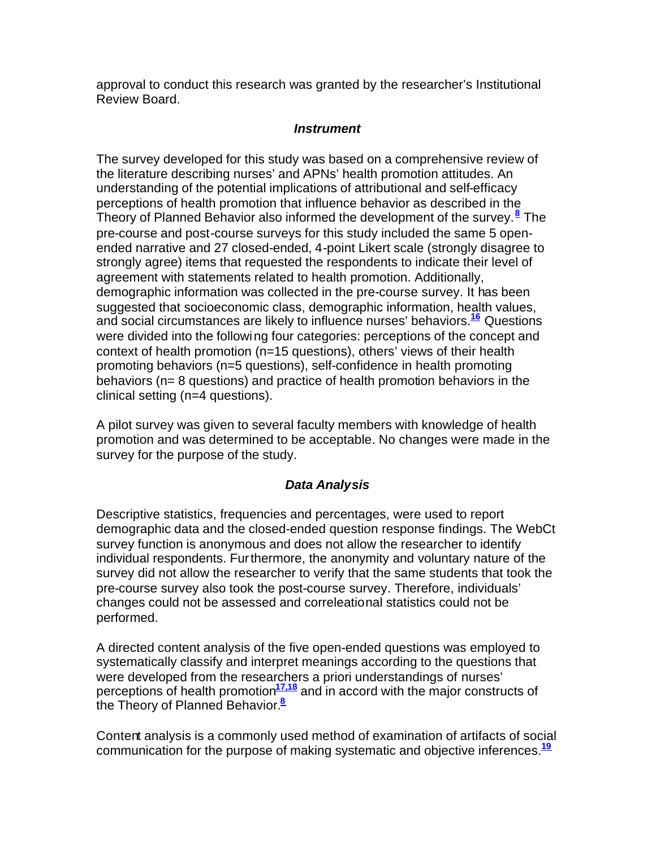approval to conduct this research was granted by the researcher's Institutional Review Board.

## *Instrument*

The survey developed for this study was based on a comprehensive review of the literature describing nurses' and APNs' health promotion attitudes. An understanding of the potential implications of attributional and self-efficacy perceptions of health promotion that influence behavior as described in the Theory of Planned Behavior also informed the development of the survey.**<sup>8</sup>** The pre-course and post-course surveys for this study included the same 5 openended narrative and 27 closed-ended, 4-point Likert scale (strongly disagree to strongly agree) items that requested the respondents to indicate their level of agreement with statements related to health promotion. Additionally, demographic information was collected in the pre-course survey. It has been suggested that socioeconomic class, demographic information, health values, and social circumstances are likely to influence nurses' behaviors.**<sup>16</sup>** Questions were divided into the following four categories: perceptions of the concept and context of health promotion (n=15 questions), others' views of their health promoting behaviors (n=5 questions), self-confidence in health promoting behaviors (n= 8 questions) and practice of health promotion behaviors in the clinical setting (n=4 questions).

A pilot survey was given to several faculty members with knowledge of health promotion and was determined to be acceptable. No changes were made in the survey for the purpose of the study.

# *Data Analysis*

Descriptive statistics, frequencies and percentages, were used to report demographic data and the closed-ended question response findings. The WebCt survey function is anonymous and does not allow the researcher to identify individual respondents. Furthermore, the anonymity and voluntary nature of the survey did not allow the researcher to verify that the same students that took the pre-course survey also took the post-course survey. Therefore, individuals' changes could not be assessed and correleational statistics could not be performed.

A directed content analysis of the five open-ended questions was employed to systematically classify and interpret meanings according to the questions that were developed from the researchers a priori understandings of nurses' perceptions of health promotion**17,18** and in accord with the major constructs of the Theory of Planned Behavior.**<sup>8</sup>**

Content analysis is a commonly used method of examination of artifacts of social communication for the purpose of making systematic and objective inferences.**<sup>19</sup>**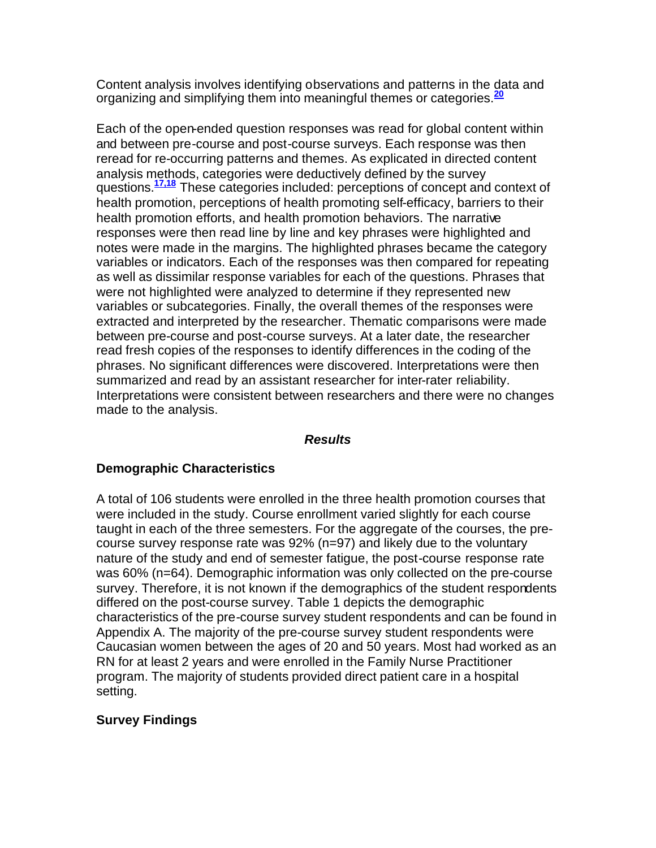Content analysis involves identifying observations and patterns in the data and organizing and simplifying them into meaningful themes or categories.**<sup>20</sup>**

Each of the open-ended question responses was read for global content within and between pre-course and post-course surveys. Each response was then reread for re-occurring patterns and themes. As explicated in directed content analysis methods, categories were deductively defined by the survey questions.**17,18** These categories included: perceptions of concept and context of health promotion, perceptions of health promoting self-efficacy, barriers to their health promotion efforts, and health promotion behaviors. The narrative responses were then read line by line and key phrases were highlighted and notes were made in the margins. The highlighted phrases became the category variables or indicators. Each of the responses was then compared for repeating as well as dissimilar response variables for each of the questions. Phrases that were not highlighted were analyzed to determine if they represented new variables or subcategories. Finally, the overall themes of the responses were extracted and interpreted by the researcher. Thematic comparisons were made between pre-course and post-course surveys. At a later date, the researcher read fresh copies of the responses to identify differences in the coding of the phrases. No significant differences were discovered. Interpretations were then summarized and read by an assistant researcher for inter-rater reliability. Interpretations were consistent between researchers and there were no changes made to the analysis.

#### *Results*

#### **Demographic Characteristics**

A total of 106 students were enrolled in the three health promotion courses that were included in the study. Course enrollment varied slightly for each course taught in each of the three semesters. For the aggregate of the courses, the precourse survey response rate was 92% (n=97) and likely due to the voluntary nature of the study and end of semester fatigue, the post-course response rate was 60% (n=64). Demographic information was only collected on the pre-course survey. Therefore, it is not known if the demographics of the student respondents differed on the post-course survey. Table 1 depicts the demographic characteristics of the pre-course survey student respondents and can be found in Appendix A. The majority of the pre-course survey student respondents were Caucasian women between the ages of 20 and 50 years. Most had worked as an RN for at least 2 years and were enrolled in the Family Nurse Practitioner program. The majority of students provided direct patient care in a hospital setting.

### **Survey Findings**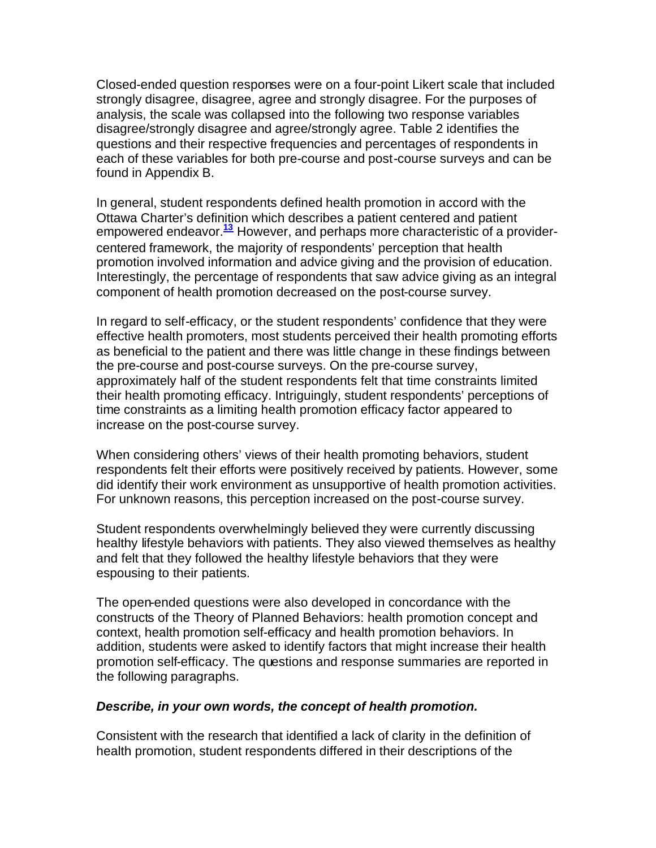Closed-ended question responses were on a four-point Likert scale that included strongly disagree, disagree, agree and strongly disagree. For the purposes of analysis, the scale was collapsed into the following two response variables disagree/strongly disagree and agree/strongly agree. Table 2 identifies the questions and their respective frequencies and percentages of respondents in each of these variables for both pre-course and post-course surveys and can be found in Appendix B.

In general, student respondents defined health promotion in accord with the Ottawa Charter's definition which describes a patient centered and patient empowered endeavor.**<sup>13</sup>** However, and perhaps more characteristic of a providercentered framework, the majority of respondents' perception that health promotion involved information and advice giving and the provision of education. Interestingly, the percentage of respondents that saw advice giving as an integral component of health promotion decreased on the post-course survey.

In regard to self-efficacy, or the student respondents' confidence that they were effective health promoters, most students perceived their health promoting efforts as beneficial to the patient and there was little change in these findings between the pre-course and post-course surveys. On the pre-course survey, approximately half of the student respondents felt that time constraints limited their health promoting efficacy. Intriguingly, student respondents' perceptions of time constraints as a limiting health promotion efficacy factor appeared to increase on the post-course survey.

When considering others' views of their health promoting behaviors, student respondents felt their efforts were positively received by patients. However, some did identify their work environment as unsupportive of health promotion activities. For unknown reasons, this perception increased on the post-course survey.

Student respondents overwhelmingly believed they were currently discussing healthy lifestyle behaviors with patients. They also viewed themselves as healthy and felt that they followed the healthy lifestyle behaviors that they were espousing to their patients.

The open-ended questions were also developed in concordance with the constructs of the Theory of Planned Behaviors: health promotion concept and context, health promotion self-efficacy and health promotion behaviors. In addition, students were asked to identify factors that might increase their health promotion self-efficacy. The questions and response summaries are reported in the following paragraphs.

#### *Describe, in your own words, the concept of health promotion.*

Consistent with the research that identified a lack of clarity in the definition of health promotion, student respondents differed in their descriptions of the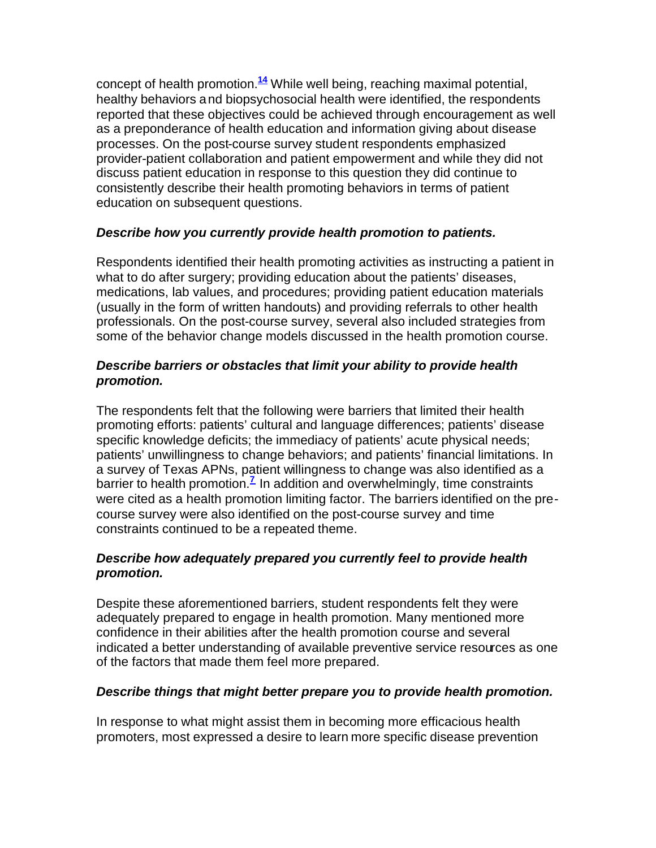concept of health promotion.**<sup>14</sup>** While well being, reaching maximal potential, healthy behaviors and biopsychosocial health were identified, the respondents reported that these objectives could be achieved through encouragement as well as a preponderance of health education and information giving about disease processes. On the post-course survey student respondents emphasized provider-patient collaboration and patient empowerment and while they did not discuss patient education in response to this question they did continue to consistently describe their health promoting behaviors in terms of patient education on subsequent questions.

# *Describe how you currently provide health promotion to patients.*

Respondents identified their health promoting activities as instructing a patient in what to do after surgery; providing education about the patients' diseases, medications, lab values, and procedures; providing patient education materials (usually in the form of written handouts) and providing referrals to other health professionals. On the post-course survey, several also included strategies from some of the behavior change models discussed in the health promotion course.

## *Describe barriers or obstacles that limit your ability to provide health promotion.*

The respondents felt that the following were barriers that limited their health promoting efforts: patients' cultural and language differences; patients' disease specific knowledge deficits; the immediacy of patients' acute physical needs; patients' unwillingness to change behaviors; and patients' financial limitations. In a survey of Texas APNs, patient willingness to change was also identified as a barrier to health promotion.<sup>7</sup> In addition and overwhelmingly, time constraints were cited as a health promotion limiting factor. The barriers identified on the precourse survey were also identified on the post-course survey and time constraints continued to be a repeated theme.

## *Describe how adequately prepared you currently feel to provide health promotion.*

Despite these aforementioned barriers, student respondents felt they were adequately prepared to engage in health promotion. Many mentioned more confidence in their abilities after the health promotion course and several indicated a better understanding of available preventive service resources as one of the factors that made them feel more prepared.

# *Describe things that might better prepare you to provide health promotion.*

In response to what might assist them in becoming more efficacious health promoters, most expressed a desire to learn more specific disease prevention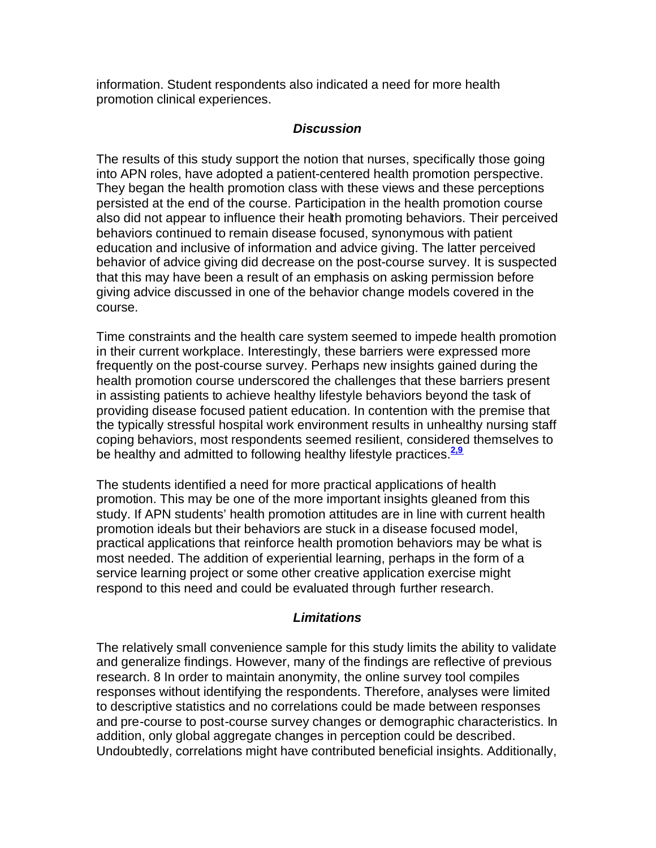information. Student respondents also indicated a need for more health promotion clinical experiences.

#### *Discussion*

The results of this study support the notion that nurses, specifically those going into APN roles, have adopted a patient-centered health promotion perspective. They began the health promotion class with these views and these perceptions persisted at the end of the course. Participation in the health promotion course also did not appear to influence their health promoting behaviors. Their perceived behaviors continued to remain disease focused, synonymous with patient education and inclusive of information and advice giving. The latter perceived behavior of advice giving did decrease on the post-course survey. It is suspected that this may have been a result of an emphasis on asking permission before giving advice discussed in one of the behavior change models covered in the course.

Time constraints and the health care system seemed to impede health promotion in their current workplace. Interestingly, these barriers were expressed more frequently on the post-course survey. Perhaps new insights gained during the health promotion course underscored the challenges that these barriers present in assisting patients to achieve healthy lifestyle behaviors beyond the task of providing disease focused patient education. In contention with the premise that the typically stressful hospital work environment results in unhealthy nursing staff coping behaviors, most respondents seemed resilient, considered themselves to be healthy and admitted to following healthy lifestyle practices.**2,9**

The students identified a need for more practical applications of health promotion. This may be one of the more important insights gleaned from this study. If APN students' health promotion attitudes are in line with current health promotion ideals but their behaviors are stuck in a disease focused model, practical applications that reinforce health promotion behaviors may be what is most needed. The addition of experiential learning, perhaps in the form of a service learning project or some other creative application exercise might respond to this need and could be evaluated through further research.

### *Limitations*

The relatively small convenience sample for this study limits the ability to validate and generalize findings. However, many of the findings are reflective of previous research. 8 In order to maintain anonymity, the online survey tool compiles responses without identifying the respondents. Therefore, analyses were limited to descriptive statistics and no correlations could be made between responses and pre-course to post-course survey changes or demographic characteristics. In addition, only global aggregate changes in perception could be described. Undoubtedly, correlations might have contributed beneficial insights. Additionally,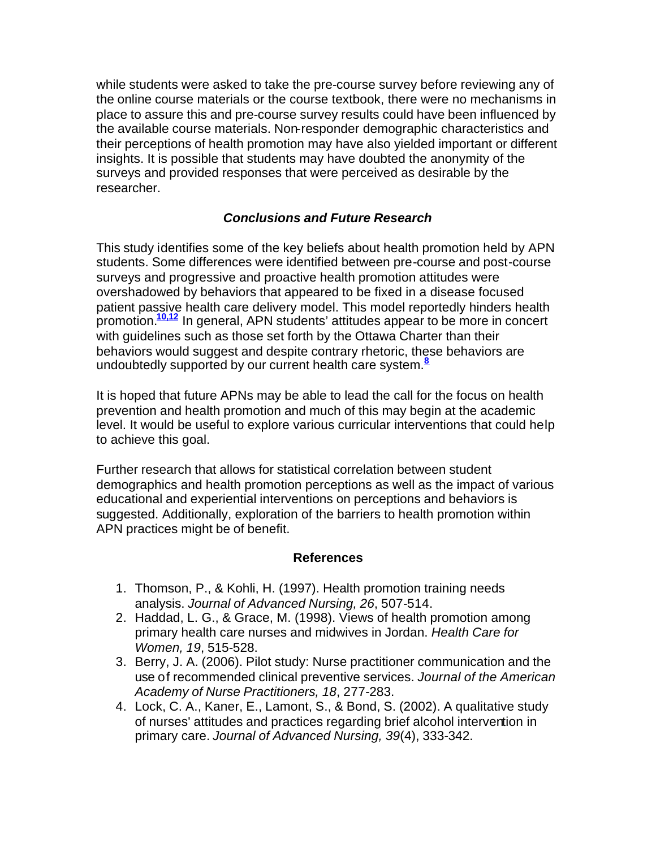while students were asked to take the pre-course survey before reviewing any of the online course materials or the course textbook, there were no mechanisms in place to assure this and pre-course survey results could have been influenced by the available course materials. Non-responder demographic characteristics and their perceptions of health promotion may have also yielded important or different insights. It is possible that students may have doubted the anonymity of the surveys and provided responses that were perceived as desirable by the researcher.

# *Conclusions and Future Research*

This study identifies some of the key beliefs about health promotion held by APN students. Some differences were identified between pre-course and post-course surveys and progressive and proactive health promotion attitudes were overshadowed by behaviors that appeared to be fixed in a disease focused patient passive health care delivery model. This model reportedly hinders health promotion.**10,12** In general, APN students' attitudes appear to be more in concert with guidelines such as those set forth by the Ottawa Charter than their behaviors would suggest and despite contrary rhetoric, these behaviors are undoubtedly supported by our current health care system.**<sup>8</sup>**

It is hoped that future APNs may be able to lead the call for the focus on health prevention and health promotion and much of this may begin at the academic level. It would be useful to explore various curricular interventions that could help to achieve this goal.

Further research that allows for statistical correlation between student demographics and health promotion perceptions as well as the impact of various educational and experiential interventions on perceptions and behaviors is suggested. Additionally, exploration of the barriers to health promotion within APN practices might be of benefit.

#### **References**

- 1. Thomson, P., & Kohli, H. (1997). Health promotion training needs analysis. *Journal of Advanced Nursing, 26*, 507-514.
- 2. Haddad, L. G., & Grace, M. (1998). Views of health promotion among primary health care nurses and midwives in Jordan. *Health Care for Women, 19*, 515-528.
- 3. Berry, J. A. (2006). Pilot study: Nurse practitioner communication and the use of recommended clinical preventive services. *Journal of the American Academy of Nurse Practitioners, 18*, 277-283.
- 4. Lock, C. A., Kaner, E., Lamont, S., & Bond, S. (2002). A qualitative study of nurses' attitudes and practices regarding brief alcohol intervention in primary care. *Journal of Advanced Nursing, 39*(4), 333-342.